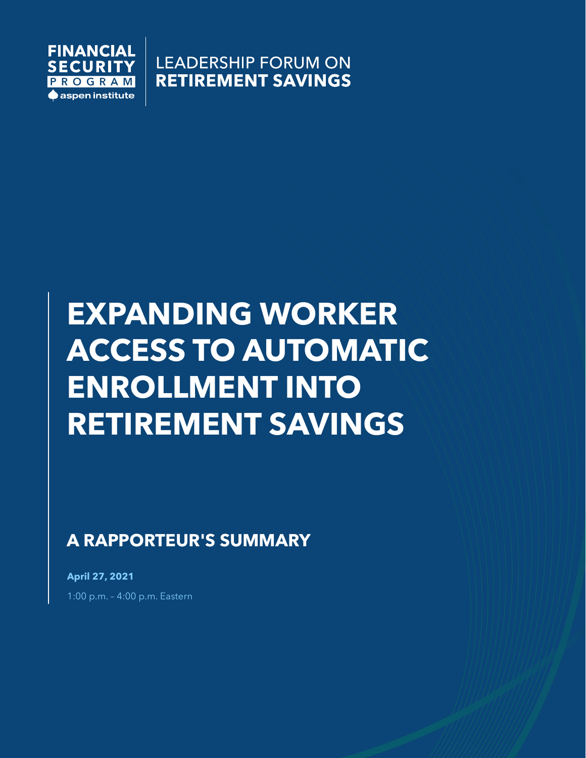

**LEADERSHIP FORUM ON RETIREMENT SAVINGS** 

# **EXPANDING WORKER ACCESS TO AUTOMATIC ENROLLMENT INTO RETIREMENT SAVINGS**

**A RAPPORTEUR'S SUMMARY**

**April 27, 2021** 1:00 p.m. – 4:00 p.m. Eastern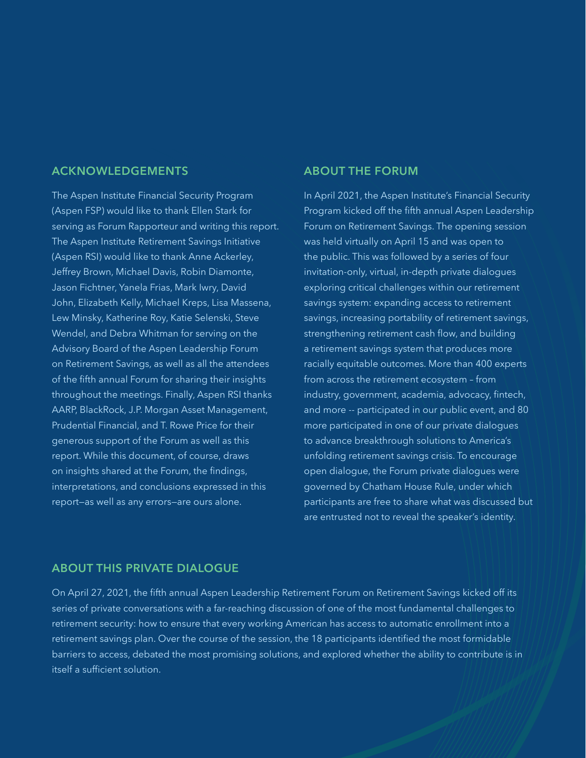#### **ACKNOWLEDGEMENTS**

The Aspen Institute Financial Security Program (Aspen FSP) would like to thank Ellen Stark for serving as Forum Rapporteur and writing this report. The Aspen Institute Retirement Savings Initiative (Aspen RSI) would like to thank Anne Ackerley, Jeffrey Brown, Michael Davis, Robin Diamonte, Jason Fichtner, Yanela Frias, Mark Iwry, David John, Elizabeth Kelly, Michael Kreps, Lisa Massena, Lew Minsky, Katherine Roy, Katie Selenski, Steve Wendel, and Debra Whitman for serving on the Advisory Board of the Aspen Leadership Forum on Retirement Savings, as well as all the attendees of the fifth annual Forum for sharing their insights throughout the meetings. Finally, Aspen RSI thanks AARP, BlackRock, J.P. Morgan Asset Management, Prudential Financial, and T. Rowe Price for their generous support of the Forum as well as this report. While this document, of course, draws on insights shared at the Forum, the findings, interpretations, and conclusions expressed in this report—as well as any errors—are ours alone.

#### **ABOUT THE FORUM**

In April 2021, the Aspen Institute's Financial Security Program kicked off the fifth annual Aspen Leadership Forum on Retirement Savings. The opening session was held virtually on April 15 and was open to the public. This was followed by a series of four invitation-only, virtual, in-depth private dialogues exploring critical challenges within our retirement savings system: expanding access to retirement savings, increasing portability of retirement savings, strengthening retirement cash flow, and building a retirement savings system that produces more racially equitable outcomes. More than 400 experts from across the retirement ecosystem – from industry, government, academia, advocacy, fintech, and more -- participated in our public event, and 80 more participated in one of our private dialogues to advance breakthrough solutions to America's unfolding retirement savings crisis. To encourage open dialogue, the Forum private dialogues were governed by Chatham House Rule, under which participants are free to share what was discussed but are entrusted not to reveal the speaker's identity.

#### **ABOUT THIS PRIVATE DIALOGUE**

On April 27, 2021, the fifth annual Aspen Leadership Retirement Forum on Retirement Savings kicked off its series of private conversations with a far-reaching discussion of one of the most fundamental challenges to retirement security: how to ensure that every working American has access to automatic enrollment into a retirement savings plan. Over the course of the session, the 18 participants identified the most formidable barriers to access, debated the most promising solutions, and explored whether the ability to contribute is in itself a sufficient solution.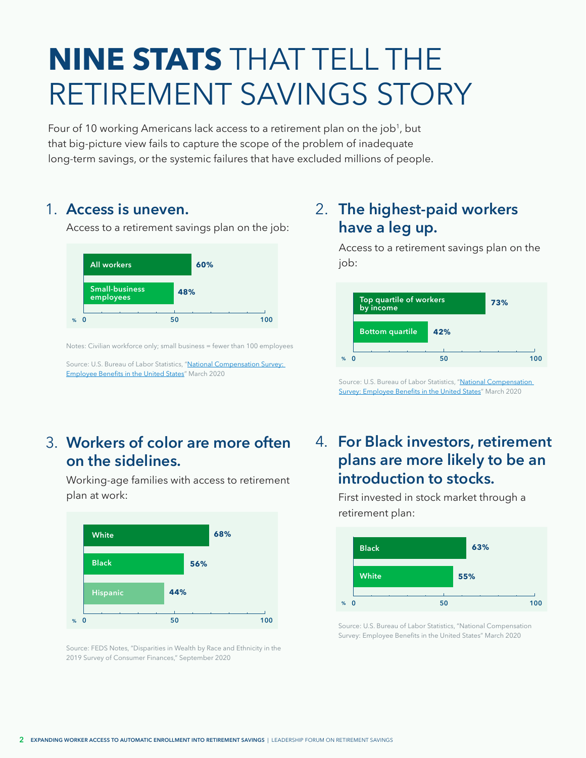## <span id="page-2-0"></span>**NINE STATS** THAT TELL THE RETIREMENT SAVINGS STORY

Four of 10 working Americans lack access to a retirement plan on the job<sup>1</sup>, but that big-picture view fails to capture the scope of the problem of inadequate long-term savings, or the systemic failures that have excluded millions of people.

### 1. Access is uneven.

Access to a retirement savings plan on the job:



Notes: Civilian workforce only; small business = fewer than 100 employees

Source: U.S. Bureau of Labor Statistics, "[National Compensation Survey:](https://www.bls.gov/ncs/ebs/benefits/2020/employee-benefits-in-the-united-states-march-2020.pdf)  [Employee Benefits in the United States"](https://www.bls.gov/ncs/ebs/benefits/2020/employee-benefits-in-the-united-states-march-2020.pdf) March 2020

## **Workers of color are more often**  3. **on the sidelines.**

Working-age families with access to retirement plan at work:



Source: FEDS Notes, "Disparities in Wealth by Race and Ethnicity in the 2019 Survey of Consumer Finances," September 2020

## **Access is uneven. The highest-paid workers have a leg up.**

Access to a retirement savings plan on the job:



Source: U.S. Bureau of Labor Statistics, "National Compensation [Survey: Employee Benefits in the United States"](https://www.bls.gov/ncs/ebs/benefits/2020/employee-benefits-in-the-united-states-march-2020.pdf) March 2020

## **For Black investors, retirement**  4. **plans are more likely to be an introduction to stocks.**

First invested in stock market through a retirement plan:



Source: U.S. Bureau of Labor Statistics, "National Compensation Survey: Employee Benefits in the United States" March 2020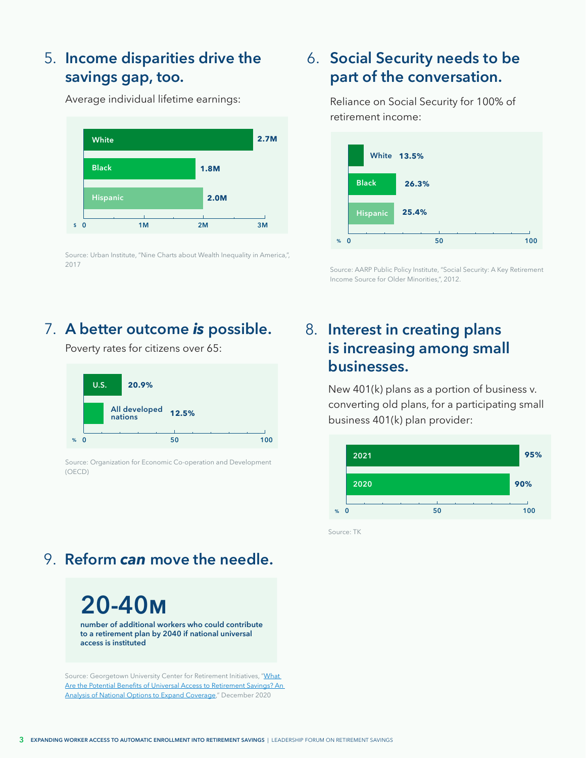## **Income disparities drive the**  5. **savings gap, too.**

Average individual lifetime earnings:

**\$ 0 2M 3M White Black Hispanic 2.7M 1.8M 2.0M 1M**

Source: Urban Institute, "Nine Charts about Wealth Inequality in America,", 2017

## **Social Security needs to be**  6. **part of the conversation.**

Reliance on Social Security for 100% of retirement income:



Source: AARP Public Policy Institute, "Social Security: A Key Retirement Income Source for Older Minorities,", 2012.

## **A better outcome is possible. 8.** Interest in creating plans

Poverty rates for citizens over 65:



Source: Organization for Economic Co-operation and Development (OECD)

## 9. **Reform** *can* **move the needle.**

**20-40m number of additional workers who could contribute to a retirement plan by 2040 if national universal access is instituted**

Source: Georgetown University Center for Retirement Initiatives, "What [Are the Potential Benefits of Universal Access to Retirement Savings? An](https://cri.georgetown.edu/wp-content/uploads/2020/12/CRI-ESI-Report-Benefits_of_Universal_Access_FINAL.pdf)  [Analysis of National Options to Expand Coverage](https://cri.georgetown.edu/wp-content/uploads/2020/12/CRI-ESI-Report-Benefits_of_Universal_Access_FINAL.pdf)," December 2020

## **is increasing among small businesses.**

New 401(k) plans as a portion of business v. converting old plans, for a participating small business 401(k) plan provider:



Source: TK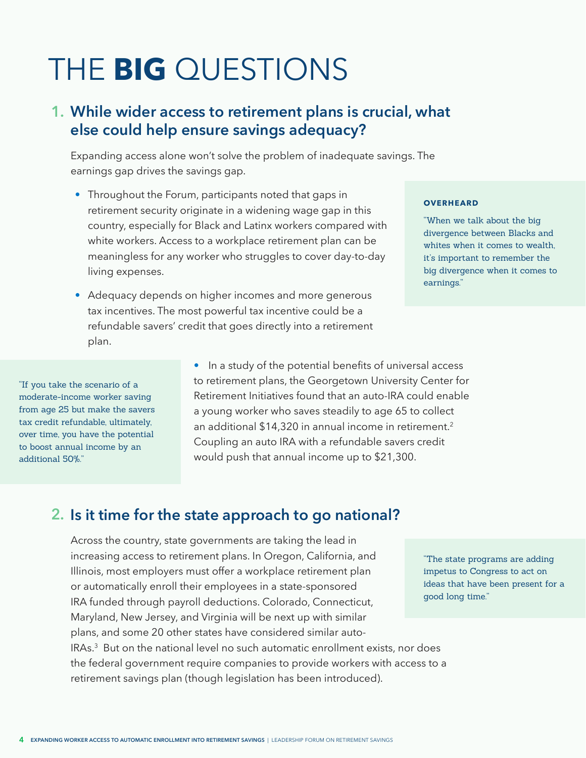## <span id="page-4-0"></span>THE **BIG** QUESTIONS

## **While wider access to retirement plans is crucial, what 1. else could help ensure savings adequacy?**

Expanding access alone won't solve the problem of inadequate savings. The earnings gap drives the savings gap.

- Throughout the Forum, participants noted that gaps in retirement security originate in a widening wage gap in this country, especially for Black and Latinx workers compared with white workers. Access to a workplace retirement plan can be meaningless for any worker who struggles to cover day-to-day living expenses.
- Adequacy depends on higher incomes and more generous tax incentives. The most powerful tax incentive could be a refundable savers' credit that goes directly into a retirement plan.

#### **OVERHEARD**

"When we talk about the big divergence between Blacks and whites when it comes to wealth. it's important to remember the big divergence when it comes to earnings."

"If you take the scenario of a moderate-income worker saving from age 25 but make the savers tax credit refundable, ultimately, over time, you have the potential to boost annual income by an additional 50%."

• In a study of the potential benefits of universal access to retirement plans, the Georgetown University Center for Retirement Initiatives found that an auto-IRA could enable a young worker who saves steadily to age 65 to collect an additional \$14,320 in annual income in retirement.<sup>2</sup> Coupling an auto IRA with a refundable savers credit would push that annual income up to \$21,300.

### **Is it time for the state approach to go national? 2.**

Across the country, state governments are taking the lead in increasing access to retirement plans. In Oregon, California, and Illinois, most employers must offer a workplace retirement plan or automatically enroll their employees in a state-sponsored IRA funded through payroll deductions. Colorado, Connecticut, Maryland, New Jersey, and Virginia will be next up with similar plans, and some 20 other states have considered similar auto-IRAs.[3](#page-13-0) But on the national level no such automatic enrollment exists, nor does the federal government require companies to provide workers with access to a retirement savings plan (though legislation has been introduced).

"The state programs are adding impetus to Congress to act on ideas that have been present for a good long time."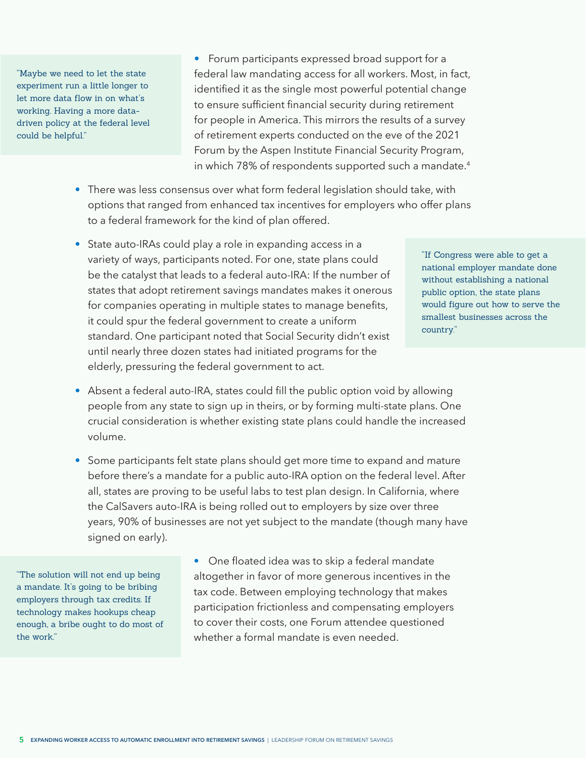<span id="page-5-0"></span>"Maybe we need to let the state experiment run a little longer to let more data flow in on what's working. Having a more datadriven policy at the federal level could be helpful."

• Forum participants expressed broad support for a federal law mandating access for all workers. Most, in fact, identified it as the single most powerful potential change to ensure sufficient financial security during retirement for people in America. This mirrors the results of a survey of retirement experts conducted on the eve of the 2021 Forum by the Aspen Institute Financial Security Program, in which 78% of respondents supported such a mandate.<sup>[4](#page-13-0)</sup>

- There was less consensus over what form federal legislation should take, with options that ranged from enhanced tax incentives for employers who offer plans to a federal framework for the kind of plan offered.
- State auto-IRAs could play a role in expanding access in a variety of ways, participants noted. For one, state plans could be the catalyst that leads to a federal auto-IRA: If the number of states that adopt retirement savings mandates makes it onerous for companies operating in multiple states to manage benefits, it could spur the federal government to create a uniform standard. One participant noted that Social Security didn't exist until nearly three dozen states had initiated programs for the elderly, pressuring the federal government to act.

"If Congress were able to get a national employer mandate done without establishing a national public option, the state plans would figure out how to serve the smallest businesses across the country."

- Absent a federal auto-IRA, states could fill the public option void by allowing people from any state to sign up in theirs, or by forming multi-state plans. One crucial consideration is whether existing state plans could handle the increased volume.
- Some participants felt state plans should get more time to expand and mature before there's a mandate for a public auto-IRA option on the federal level. After all, states are proving to be useful labs to test plan design. In California, where the CalSavers auto-IRA is being rolled out to employers by size over three years, 90% of businesses are not yet subject to the mandate (though many have signed on early).

"The solution will not end up being a mandate. It's going to be bribing employers through tax credits. If technology makes hookups cheap enough, a bribe ought to do most of the work."

• One floated idea was to skip a federal mandate altogether in favor of more generous incentives in the tax code. Between employing technology that makes participation frictionless and compensating employers to cover their costs, one Forum attendee questioned whether a formal mandate is even needed.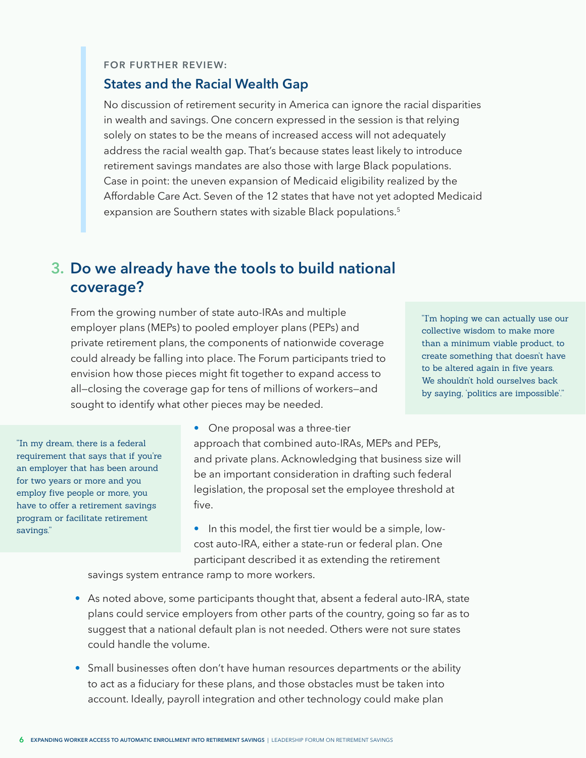#### <span id="page-6-0"></span>**FOR FURTHER REVIEW:**

#### **States and the Racial Wealth Gap**

No discussion of retirement security in America can ignore the racial disparities in wealth and savings. One concern expressed in the session is that relying solely on states to be the means of increased access will not adequately address the racial wealth gap. That's because states least likely to introduce retirement savings mandates are also those with large Black populations. Case in point: the uneven expansion of Medicaid eligibility realized by the Affordable Care Act. Seven of the 12 states that have not yet adopted Medicaid expansion are Southern states with sizable Black populations.<sup>[5](#page-13-0)</sup>

### **Do we already have the tools to build national 3. coverage?**

From the growing number of state auto-IRAs and multiple employer plans (MEPs) to pooled employer plans (PEPs) and private retirement plans, the components of nationwide coverage could already be falling into place. The Forum participants tried to envision how those pieces might fit together to expand access to all—closing the coverage gap for tens of millions of workers—and sought to identify what other pieces may be needed.

"I'm hoping we can actually use our collective wisdom to make more than a minimum viable product, to create something that doesn't have to be altered again in five years. We shouldn't hold ourselves back by saying, 'politics are impossible'."

"In my dream, there is a federal requirement that says that if you're an employer that has been around for two years or more and you employ five people or more, you have to offer a retirement savings program or facilitate retirement savings."

• One proposal was a three-tier approach that combined auto-IRAs, MEPs and PEPs, and private plans. Acknowledging that business size will be an important consideration in drafting such federal legislation, the proposal set the employee threshold at five.

• In this model, the first tier would be a simple, lowcost auto-IRA, either a state-run or federal plan. One participant described it as extending the retirement

savings system entrance ramp to more workers.

- As noted above, some participants thought that, absent a federal auto-IRA, state plans could service employers from other parts of the country, going so far as to suggest that a national default plan is not needed. Others were not sure states could handle the volume.
- Small businesses often don't have human resources departments or the ability to act as a fiduciary for these plans, and those obstacles must be taken into account. Ideally, payroll integration and other technology could make plan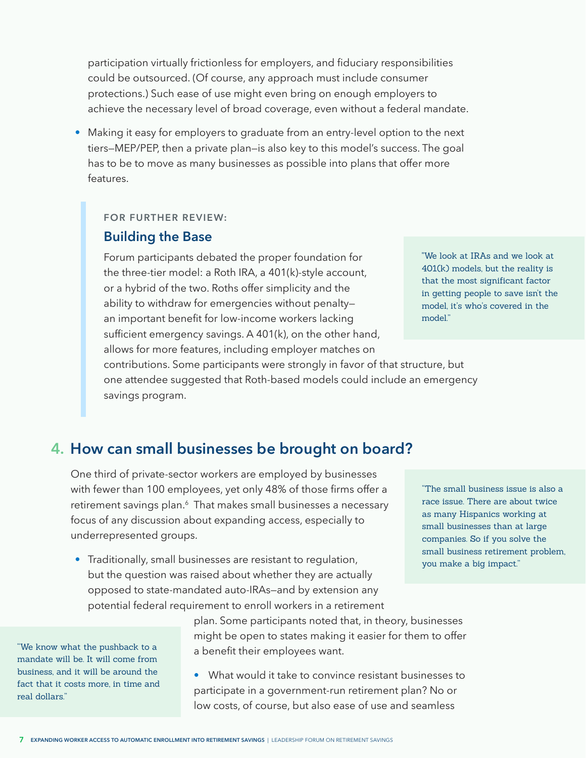<span id="page-7-0"></span>participation virtually frictionless for employers, and fiduciary responsibilities could be outsourced. (Of course, any approach must include consumer protections.) Such ease of use might even bring on enough employers to achieve the necessary level of broad coverage, even without a federal mandate.

• Making it easy for employers to graduate from an entry-level option to the next tiers—MEP/PEP, then a private plan—is also key to this model's success. The goal has to be to move as many businesses as possible into plans that offer more features.

#### **FOR FURTHER REVIEW:**

### **Building the Base**

Forum participants debated the proper foundation for the three-tier model: a Roth IRA, a 401(k)-style account, or a hybrid of the two. Roths offer simplicity and the ability to withdraw for emergencies without penalty an important benefit for low-income workers lacking sufficient emergency savings. A 401(k), on the other hand, allows for more features, including employer matches on contributions. Some participants were strongly in favor of that structure, but one attendee suggested that Roth-based models could include an emergency savings program.

"We look at IRAs and we look at 401(k) models, but the reality is that the most significant factor in getting people to save isn't the model, it's who's covered in the model."

## **How can small businesses be brought on board? 4.**

One third of private-sector workers are employed by businesses with fewer than 100 employees, yet only 48% of those firms offer a retirement savings plan.<sup>[6](#page-13-0)</sup> That makes small businesses a necessary focus of any discussion about expanding access, especially to underrepresented groups.

• Traditionally, small businesses are resistant to regulation, but the question was raised about whether they are actually opposed to state-mandated auto-IRAs—and by extension any potential federal requirement to enroll workers in a retirement

"We know what the pushback to a mandate will be. It will come from business, and it will be around the fact that it costs more, in time and real dollars."

plan. Some participants noted that, in theory, businesses might be open to states making it easier for them to offer a benefit their employees want.

• What would it take to convince resistant businesses to participate in a government-run retirement plan? No or low costs, of course, but also ease of use and seamless

"The small business issue is also a race issue. There are about twice as many Hispanics working at small businesses than at large companies. So if you solve the small business retirement problem, you make a big impact."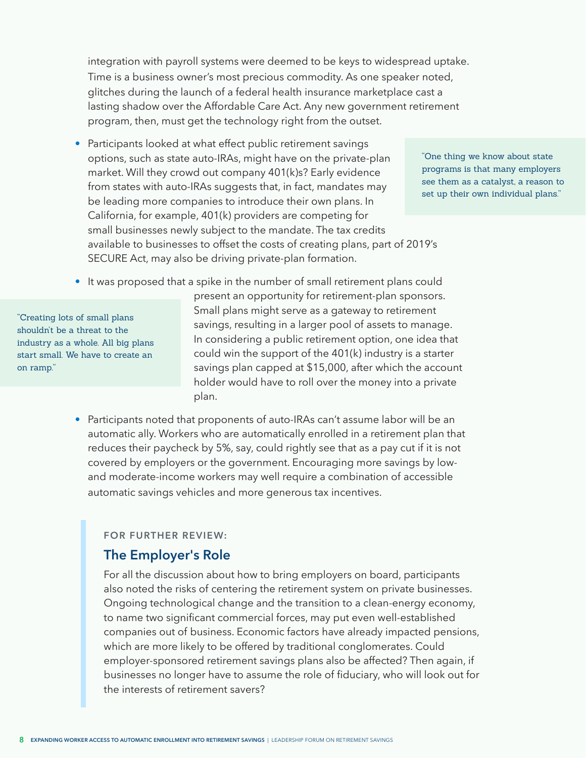integration with payroll systems were deemed to be keys to widespread uptake. Time is a business owner's most precious commodity. As one speaker noted, glitches during the launch of a federal health insurance marketplace cast a lasting shadow over the Affordable Care Act. Any new government retirement program, then, must get the technology right from the outset.

• Participants looked at what effect public retirement savings options, such as state auto-IRAs, might have on the private-plan market. Will they crowd out company 401(k)s? Early evidence from states with auto-IRAs suggests that, in fact, mandates may be leading more companies to introduce their own plans. In California, for example, 401(k) providers are competing for small businesses newly subject to the mandate. The tax credits available to businesses to offset the costs of creating plans, part of 2019's SECURE Act, may also be driving private-plan formation.

"One thing we know about state programs is that many employers see them as a catalyst, a reason to set up their own individual plans."

It was proposed that a spike in the number of small retirement plans could

"Creating lots of small plans shouldn't be a threat to the industry as a whole. All big plans start small. We have to create an on ramp."

present an opportunity for retirement-plan sponsors. Small plans might serve as a gateway to retirement savings, resulting in a larger pool of assets to manage. In considering a public retirement option, one idea that could win the support of the 401(k) industry is a starter savings plan capped at \$15,000, after which the account holder would have to roll over the money into a private plan.

• Participants noted that proponents of auto-IRAs can't assume labor will be an automatic ally. Workers who are automatically enrolled in a retirement plan that reduces their paycheck by 5%, say, could rightly see that as a pay cut if it is not covered by employers or the government. Encouraging more savings by lowand moderate-income workers may well require a combination of accessible automatic savings vehicles and more generous tax incentives.

#### **FOR FURTHER REVIEW:**

### **The Employer's Role**

For all the discussion about how to bring employers on board, participants also noted the risks of centering the retirement system on private businesses. Ongoing technological change and the transition to a clean-energy economy, to name two significant commercial forces, may put even well-established companies out of business. Economic factors have already impacted pensions, which are more likely to be offered by traditional conglomerates. Could employer-sponsored retirement savings plans also be affected? Then again, if businesses no longer have to assume the role of fiduciary, who will look out for the interests of retirement savers?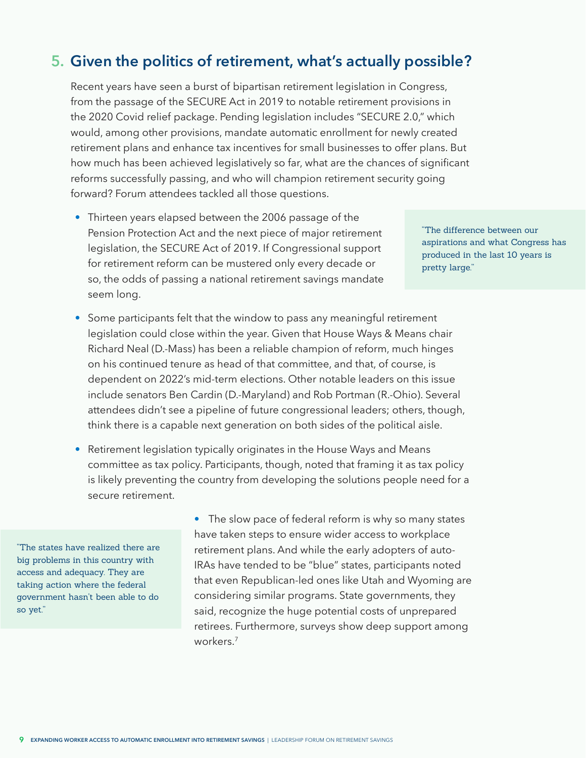## <span id="page-9-0"></span>**Given the politics of retirement, what's actually possible? 5.**

Recent years have seen a burst of bipartisan retirement legislation in Congress, from the passage of the SECURE Act in 2019 to notable retirement provisions in the 2020 Covid relief package. Pending legislation includes "SECURE 2.0," which would, among other provisions, mandate automatic enrollment for newly created retirement plans and enhance tax incentives for small businesses to offer plans. But how much has been achieved legislatively so far, what are the chances of significant reforms successfully passing, and who will champion retirement security going forward? Forum attendees tackled all those questions.

• Thirteen years elapsed between the 2006 passage of the Pension Protection Act and the next piece of major retirement legislation, the SECURE Act of 2019. If Congressional support for retirement reform can be mustered only every decade or so, the odds of passing a national retirement savings mandate seem long.

"The difference between our aspirations and what Congress has produced in the last 10 years is pretty large."

- Some participants felt that the window to pass any meaningful retirement legislation could close within the year. Given that House Ways & Means chair Richard Neal (D.-Mass) has been a reliable champion of reform, much hinges on his continued tenure as head of that committee, and that, of course, is dependent on 2022's mid-term elections. Other notable leaders on this issue include senators Ben Cardin (D.-Maryland) and Rob Portman (R.-Ohio). Several attendees didn't see a pipeline of future congressional leaders; others, though, think there is a capable next generation on both sides of the political aisle.
- Retirement legislation typically originates in the House Ways and Means committee as tax policy. Participants, though, noted that framing it as tax policy is likely preventing the country from developing the solutions people need for a secure retirement.

"The states have realized there are big problems in this country with access and adequacy. They are taking action where the federal government hasn't been able to do so yet."

• The slow pace of federal reform is why so many states have taken steps to ensure wider access to workplace retirement plans. And while the early adopters of auto-IRAs have tended to be "blue" states, participants noted that even Republican-led ones like Utah and Wyoming are considering similar programs. State governments, they said, recognize the huge potential costs of unprepared retirees. Furthermore, surveys show deep support among workers.<sup>7</sup>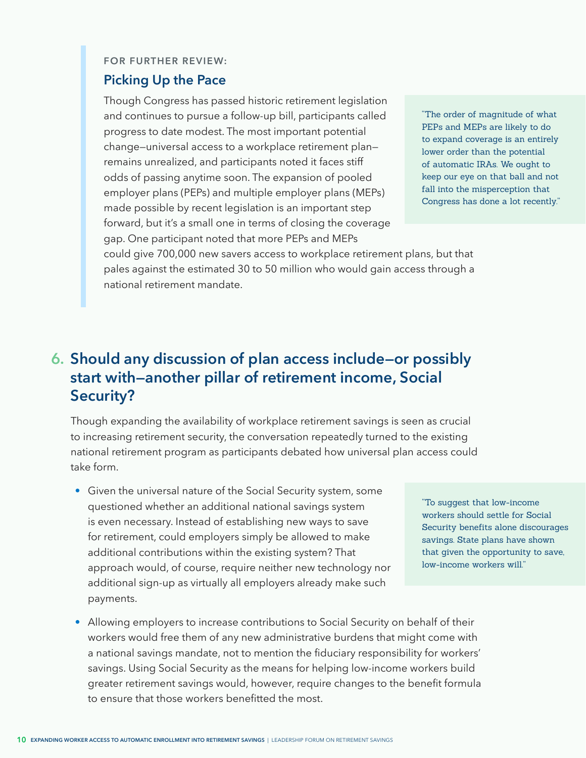#### **FOR FURTHER REVIEW:**

#### **Picking Up the Pace**

Though Congress has passed historic retirement legislation and continues to pursue a follow-up bill, participants called progress to date modest. The most important potential change—universal access to a workplace retirement plan remains unrealized, and participants noted it faces stiff odds of passing anytime soon. The expansion of pooled employer plans (PEPs) and multiple employer plans (MEPs) made possible by recent legislation is an important step forward, but it's a small one in terms of closing the coverage gap. One participant noted that more PEPs and MEPs

"The order of magnitude of what PEPs and MEPs are likely to do to expand coverage is an entirely lower order than the potential of automatic IRAs. We ought to keep our eye on that ball and not fall into the misperception that Congress has done a lot recently."

could give 700,000 new savers access to workplace retirement plans, but that pales against the estimated 30 to 50 million who would gain access through a national retirement mandate.

## **Should any discussion of plan access include—or possibly 6. start with—another pillar of retirement income, Social Security?**

Though expanding the availability of workplace retirement savings is seen as crucial to increasing retirement security, the conversation repeatedly turned to the existing national retirement program as participants debated how universal plan access could take form.

• Given the universal nature of the Social Security system, some questioned whether an additional national savings system is even necessary. Instead of establishing new ways to save for retirement, could employers simply be allowed to make additional contributions within the existing system? That approach would, of course, require neither new technology nor additional sign-up as virtually all employers already make such payments.

"To suggest that low-income workers should settle for Social Security benefits alone discourages savings. State plans have shown that given the opportunity to save, low-income workers will."

• Allowing employers to increase contributions to Social Security on behalf of their workers would free them of any new administrative burdens that might come with a national savings mandate, not to mention the fiduciary responsibility for workers' savings. Using Social Security as the means for helping low-income workers build greater retirement savings would, however, require changes to the benefit formula to ensure that those workers benefitted the most.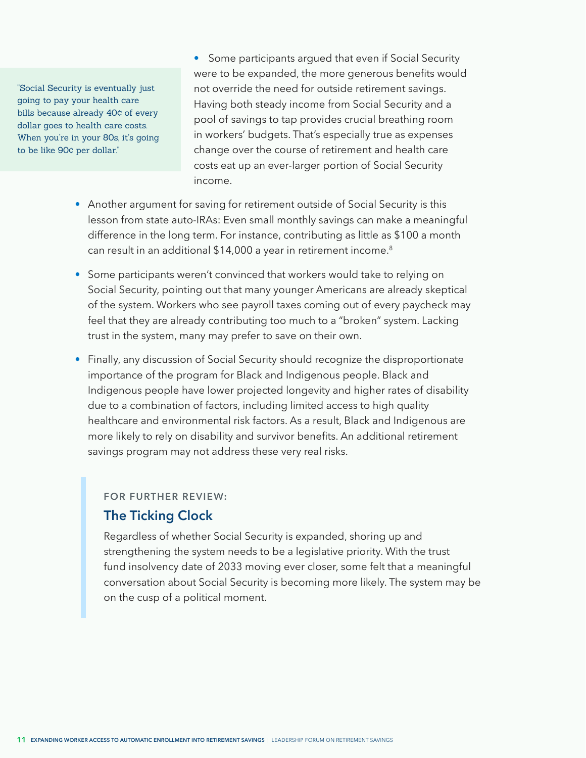<span id="page-11-0"></span>"Social Security is eventually just going to pay your health care bills because already 40¢ of every dollar goes to health care costs. When you're in your 80s, it's going to be like 90¢ per dollar."

• Some participants argued that even if Social Security were to be expanded, the more generous benefits would not override the need for outside retirement savings. Having both steady income from Social Security and a pool of savings to tap provides crucial breathing room in workers' budgets. That's especially true as expenses change over the course of retirement and health care costs eat up an ever-larger portion of Social Security income.

- Another argument for saving for retirement outside of Social Security is this lesson from state auto-IRAs: Even small monthly savings can make a meaningful difference in the long term. For instance, contributing as little as \$100 a month can result in an additional \$14,000 a year in retirement income.<sup>[8](#page-13-0)</sup>
- Some participants weren't convinced that workers would take to relying on Social Security, pointing out that many younger Americans are already skeptical of the system. Workers who see payroll taxes coming out of every paycheck may feel that they are already contributing too much to a "broken" system. Lacking trust in the system, many may prefer to save on their own.
- Finally, any discussion of Social Security should recognize the disproportionate importance of the program for Black and Indigenous people. Black and Indigenous people have lower projected longevity and higher rates of disability due to a combination of factors, including limited access to high quality healthcare and environmental risk factors. As a result, Black and Indigenous are more likely to rely on disability and survivor benefits. An additional retirement savings program may not address these very real risks.

#### **FOR FURTHER REVIEW:**

#### **The Ticking Clock**

Regardless of whether Social Security is expanded, shoring up and strengthening the system needs to be a legislative priority. With the trust fund insolvency date of 2033 moving ever closer, some felt that a meaningful conversation about Social Security is becoming more likely. The system may be on the cusp of a political moment.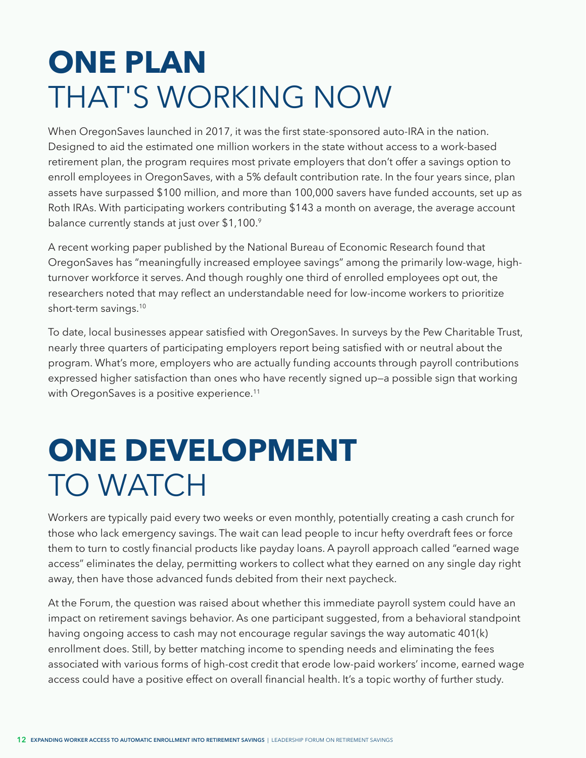## <span id="page-12-0"></span>**ONE PLAN**  THAT'S WORKING NOW

When OregonSaves launched in 2017, it was the first state-sponsored auto-IRA in the nation. Designed to aid the estimated one million workers in the state without access to a work-based retirement plan, the program requires most private employers that don't offer a savings option to enroll employees in OregonSaves, with a 5% default contribution rate. In the four years since, plan assets have surpassed \$100 million, and more than 100,000 savers have funded accounts, set up as Roth IRAs. With participating workers contributing \$143 a month on average, the average account balance currently stands at just over \$1,100.[9](#page-13-0)

A recent working paper published by the National Bureau of Economic Research found that OregonSaves has "meaningfully increased employee savings" among the primarily low-wage, highturnover workforce it serves. And though roughly one third of enrolled employees opt out, the researchers noted that may reflect an understandable need for low-income workers to prioritize short-term savings[.10](#page-13-0) 

To date, local businesses appear satisfied with OregonSaves. In surveys by the Pew Charitable Trust, nearly three quarters of participating employers report being satisfied with or neutral about the program. What's more, employers who are actually funding accounts through payroll contributions expressed higher satisfaction than ones who have recently signed up—a possible sign that working with OregonSaves is a positive experience.<sup>[11](#page-13-0)</sup>

# **ONE DEVELOPMENT** TO WATCH

Workers are typically paid every two weeks or even monthly, potentially creating a cash crunch for those who lack emergency savings. The wait can lead people to incur hefty overdraft fees or force them to turn to costly financial products like payday loans. A payroll approach called "earned wage access" eliminates the delay, permitting workers to collect what they earned on any single day right away, then have those advanced funds debited from their next paycheck.

At the Forum, the question was raised about whether this immediate payroll system could have an impact on retirement savings behavior. As one participant suggested, from a behavioral standpoint having ongoing access to cash may not encourage regular savings the way automatic 401(k) enrollment does. Still, by better matching income to spending needs and eliminating the fees associated with various forms of high-cost credit that erode low-paid workers' income, earned wage access could have a positive effect on overall financial health. It's a topic worthy of further study.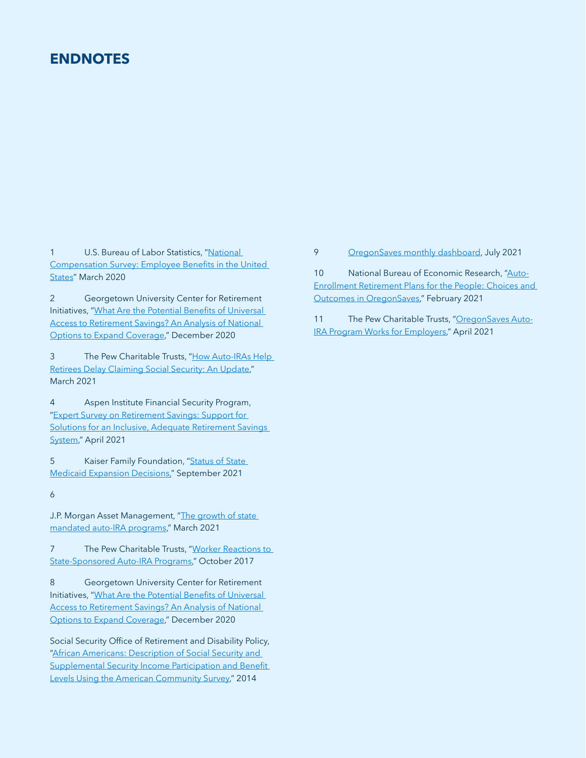### <span id="page-13-0"></span>**ENDNOTES**

[1](#page-2-0) U.S. Bureau of Labor Statistics, "National [Compensation Survey: Employee Benefits in the United](https://www.bls.gov/ncs/ebs/benefits/2020/employee-benefits-in-the-united-states-march-2020.pdf)  [States"](https://www.bls.gov/ncs/ebs/benefits/2020/employee-benefits-in-the-united-states-march-2020.pdf) March 2020

[2](#page-4-0) Georgetown University Center for Retirement Initiatives, ["What Are the Potential Benefits of Universal](https://cri.georgetown.edu/wp-content/uploads/2020/12/CRI-ESI-Report-Benefits_of_Universal_Access_FINAL.pdf)  [Access to Retirement Savings? An Analysis of National](https://cri.georgetown.edu/wp-content/uploads/2020/12/CRI-ESI-Report-Benefits_of_Universal_Access_FINAL.pdf)  [Options to Expand Coverage,](https://cri.georgetown.edu/wp-content/uploads/2020/12/CRI-ESI-Report-Benefits_of_Universal_Access_FINAL.pdf)" December 2020

[3](#page-4-0) The Pew Charitable Trusts, "How Auto-IRAs Help [Retirees Delay Claiming Social Security: An Update,](https://www.pewtrusts.org/en/research-and-analysis/issue-briefs/2021/03/how-auto-iras-help-retirees-delay-claiming-social-security)" March 2021

[4](#page-5-0) Aspen Institute Financial Security Program, "[Expert Survey on Retirement Savings: Support for](https://www.aspeninstitute.org/publications/expert-survey-on-retirement-savings/)  Solutions for an Inclusive, Adequate Retirement Savings [System,](https://www.aspeninstitute.org/publications/expert-survey-on-retirement-savings/)" April 2021

[5](#page-6-0) Kaiser Family Foundation, "Status of State [Medicaid Expansion Decisions,"](https://www.kff.org/medicaid/issue-brief/status-of-state-medicaid-expansion-decisions-interactive-map/) September 2021

[6](#page-7-0)

J.P. Morgan Asset Management, "The growth of state [mandated auto-IRA programs,](https://am.jpmorgan.com/us/en/asset-management/adv/insights/retirement-insights/defined-contribution/state-mandatory-auto-iras/)" March 2021

[7](#page-9-0) The Pew Charitable Trusts, "Worker Reactions to [State-Sponsored Auto-IRA Programs](https://www.pewtrusts.org/-/media/assets/2017/10/retirement_savings_worker_reactions_v5.pdf)," October 2017

[8](#page-11-0) Georgetown University Center for Retirement Initiatives, ["What Are the Potential Benefits of Universal](https://cri.georgetown.edu/wp-content/uploads/2020/12/CRI-ESI-Report-Benefits_of_Universal_Access_FINAL.pdf)  [Access to Retirement Savings? An Analysis of National](https://cri.georgetown.edu/wp-content/uploads/2020/12/CRI-ESI-Report-Benefits_of_Universal_Access_FINAL.pdf)  [Options to Expand Coverage,](https://cri.georgetown.edu/wp-content/uploads/2020/12/CRI-ESI-Report-Benefits_of_Universal_Access_FINAL.pdf)" December 2020

Social Security Office of Retirement and Disability Policy, ["African Americans: Description of Social Security and](https://www.ssa.gov/policy/docs/rsnotes/rsn2014-01.html)  Supplemental Security Income Participation and Benefit [Levels Using the American Community Survey,](https://www.ssa.gov/policy/docs/rsnotes/rsn2014-01.html)" 2014

#### [9](#page-12-0) [OregonSaves monthly dashboard](https://www.oregon.gov/treasury/financial-empowerment/Documents/ors-board-meeting-minutes/2021/2021-04-Program-Report-OregonSaves-Monthly.pdf), July 2021

[10](#page-12-0) National Bureau of Economic Research, ["Auto-](https://www.nber.org/papers/w28469)[Enrollment Retirement Plans for the People: Choices and](https://www.nber.org/papers/w28469)  [Outcomes in OregonSaves,](https://www.nber.org/papers/w28469)" February 2021

[11](#page-12-0) The Pew Charitable Trusts, "[OregonSaves Auto-](https://www.pewtrusts.org/en/research-and-analysis/issue-briefs/2021/04/oregonsaves-auto-ira-program-works-for-employers)[IRA Program Works for Employers](https://www.pewtrusts.org/en/research-and-analysis/issue-briefs/2021/04/oregonsaves-auto-ira-program-works-for-employers)," April 2021